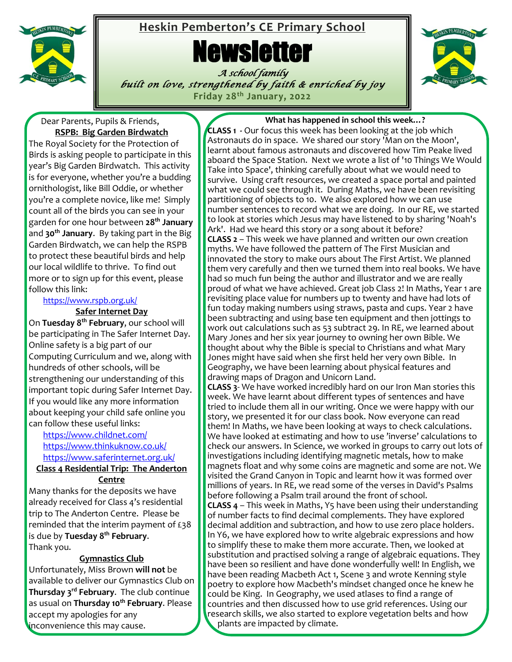

## **Heskin Pemberton's CE Primary School**

# **Newsletter**

*A school family built on love, strengthened by faith & enriched by joy* **Friday 28th January, 2022**



#### Dear Parents, Pupils & Friends, **RSPB: Big Garden Birdwatch**

The Royal Society for the Protection of Birds is asking people to participate in this year's Big Garden Birdwatch. This activity is for everyone, whether you're a budding ornithologist, like Bill Oddie, or whether you're a complete novice, like me! Simply count all of the birds you can see in your garden for one hour between **28th January** and **30th January**. By taking part in the Big Garden Birdwatch, we can help the RSPB to protect these beautiful birds and help our local wildlife to thrive. To find out more or to sign up for this event, please follow this link:

### <https://www.rspb.org.uk/>

#### **Safer Internet Day**

On **Tuesday 8 th February**, our school will be participating in The Safer Internet Day. Online safety is a big part of our Computing Curriculum and we, along with hundreds of other schools, will be strengthening our understanding of this important topic during Safer Internet Day. If you would like any more information about keeping your child safe online you can follow these useful links:

<https://www.childnet.com/> <https://www.thinkuknow.co.uk/> <https://www.saferinternet.org.uk/>

**Class 4 Residential Trip: The Anderton Centre**

Many thanks for the deposits we have already received for Class 4's residential trip to The Anderton Centre. Please be reminded that the interim payment of £38 is due by **Tuesday 8th February**. Thank you.

#### **Gymnastics Club**

Unfortunately, Miss Brown **will not** be available to deliver our Gymnastics Club on **Thursday 3 rd February**. The club continue as usual on **Thursday 10th February**. Please accept my apologies for any inconvenience this may cause.

#### **What has happened in school this week…?**

**CLASS 1 -** Our focus this week has been looking at the job which Astronauts do in space. We shared our story 'Man on the Moon', learnt about famous astronauts and discovered how Tim Peake lived aboard the Space Station. Next we wrote a list of '10 Things We Would Take into Space', thinking carefully about what we would need to survive. Using craft resources, we created a space portal and painted what we could see through it. During Maths, we have been revisiting partitioning of objects to 10. We also explored how we can use number sentences to record what we are doing. In our RE, we started to look at stories which Jesus may have listened to by sharing 'Noah's Ark'. Had we heard this story or a song about it before? **CLASS 2** – This week we have planned and written our own creation myths. We have followed the pattern of The First Musician and innovated the story to make ours about The First Artist. We planned them very carefully and then we turned them into real books. We have had so much fun being the author and illustrator and we are really proud of what we have achieved. Great job Class 2! In Maths, Year 1 are revisiting place value for numbers up to twenty and have had lots of fun today making numbers using straws, pasta and cups. Year 2 have been subtracting and using base ten equipment and then jottings to work out calculations such as 53 subtract 29. In RE, we learned about Mary Jones and her six year journey to owning her own Bible. We thought about why the Bible is special to Christians and what Mary Jones might have said when she first held her very own Bible. In Geography, we have been learning about physical features and drawing maps of Dragon and Unicorn Land.

Ì **CLASS 3**- We have worked incredibly hard on our Iron Man stories this week. We have learnt about different types of sentences and have tried to include them all in our writing. Once we were happy with our story, we presented it for our class book. Now everyone can read them! In Maths, we have been looking at ways to check calculations. We have looked at estimating and how to use 'inverse' calculations to check our answers. In Science, we worked in groups to carry out lots of investigations including identifying magnetic metals, how to make magnets float and why some coins are magnetic and some are not. We visited the Grand Canyon in Topic and learnt how it was formed over millions of years. In RE, we read some of the verses in David's Psalms before following a Psalm trail around the front of school. **CLASS 4** – This week in Maths, Y5 have been using their understanding of number facts to find decimal complements. They have explored decimal addition and subtraction, and how to use zero place holders. In Y6, we have explored how to write algebraic expressions and how to simplify these to make them more accurate. Then, we looked at substitution and practised solving a range of algebraic equations. They have been so resilient and have done wonderfully well! In English, we have been reading Macbeth Act 1, Scene 3 and wrote Kenning style poetry to explore how Macbeth's mindset changed once he knew he could be King. In Geography, we used atlases to find a range of countries and then discussed how to use grid references. Using our research skills, we also started to explore vegetation belts and how plants are impacted by climate.